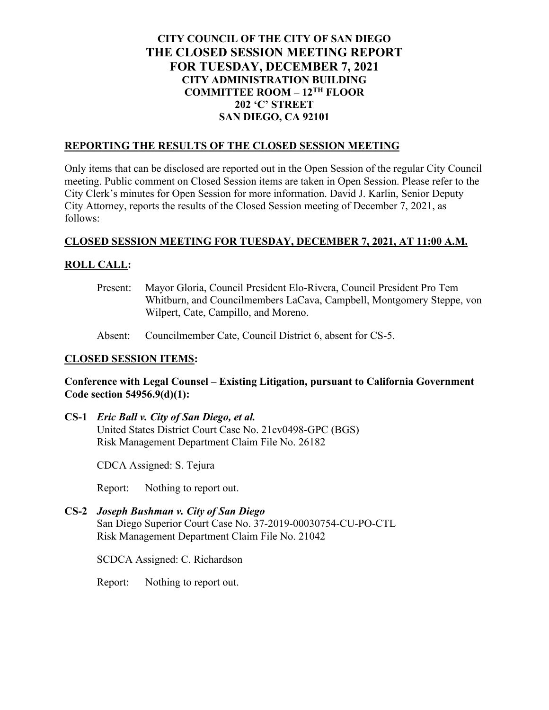# **CITY COUNCIL OF THE CITY OF SAN DIEGO THE CLOSED SESSION MEETING REPORT FOR TUESDAY, DECEMBER 7, 2021 CITY ADMINISTRATION BUILDING COMMITTEE ROOM – 12TH FLOOR 202 'C' STREET SAN DIEGO, CA 92101**

### **REPORTING THE RESULTS OF THE CLOSED SESSION MEETING**

Only items that can be disclosed are reported out in the Open Session of the regular City Council meeting. Public comment on Closed Session items are taken in Open Session. Please refer to the City Clerk's minutes for Open Session for more information. David J. Karlin, Senior Deputy City Attorney, reports the results of the Closed Session meeting of December 7, 2021, as follows:

#### **CLOSED SESSION MEETING FOR TUESDAY, DECEMBER 7, 2021, AT 11:00 A.M.**

### **ROLL CALL:**

- Present: Mayor Gloria, Council President Elo-Rivera, Council President Pro Tem Whitburn, and Councilmembers LaCava, Campbell, Montgomery Steppe, von Wilpert, Cate, Campillo, and Moreno.
- Absent: Councilmember Cate, Council District 6, absent for CS-5.

## **CLOSED SESSION ITEMS:**

### **Conference with Legal Counsel – Existing Litigation, pursuant to California Government Code section 54956.9(d)(1):**

**CS-1** *Eric Ball v. City of San Diego, et al.* United States District Court Case No. 21cv0498-GPC (BGS) Risk Management Department Claim File No. 26182

CDCA Assigned: S. Tejura

Report: Nothing to report out.

**CS-2** *Joseph Bushman v. City of San Diego* San Diego Superior Court Case No. 37-2019-00030754-CU-PO-CTL Risk Management Department Claim File No. 21042

SCDCA Assigned: C. Richardson

Report: Nothing to report out.